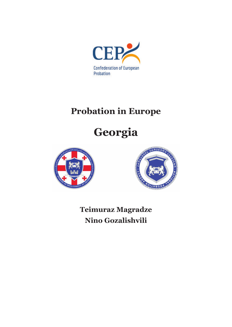

## **Probation in Europe**

# **Georgia**





**Teimuraz Magradze Nino Gozalishvili**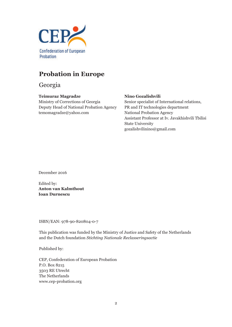

## **Probation in Europe**

Georgia

#### **Teimuraz Magradze**

Ministry of Corrections of Georgia Deputy Head of National Probation Agency temomagradze@yahoo.com

#### **Nino Gozalishvili**

Senior specialist of International relations, PR and IT technologies department National Probation Agency Assistant Professor at Iv. Javakhishvili Tbilisi State University gozalishvilinino@gmail.com

December 2016

Edited by: **Anton van Kalmthout Ioan Durnescu**

ISBN/EAN: 978-90-820804-0-7

This publication was funded by the Ministry of Justice and Safety of the Netherlands and the Dutch foundation *Stichting Nationale Reclasseringsactie*

Published by:

CEP, Confederation of European Probation P.O. Box 8215 3503 RE Utrecht The Netherlands www.cep-probation.org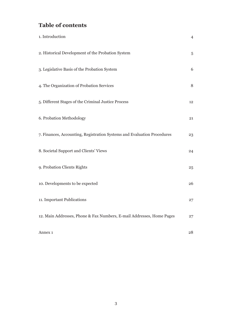## **Table of contents**

| 1. Introduction                                                         | $\overline{4}$ |
|-------------------------------------------------------------------------|----------------|
| 2. Historical Development of the Probation System                       | 5              |
| 3. Legislative Basis of the Probation System                            | 6              |
| 4. The Organization of Probation Services                               | 8              |
| 5. Different Stages of the Criminal Justice Process                     | 12             |
| 6. Probation Methodology                                                | 21             |
| 7. Finances, Accounting, Registration Systems and Evaluation Procedures | 23             |
| 8. Societal Support and Clients' Views                                  | 24             |
| 9. Probation Clients Rights                                             | 25             |
| 10. Developments to be expected                                         | 26             |
| 11. Important Publications                                              | 27             |
| 12. Main Addresses, Phone & Fax Numbers, E-mail Addresses, Home Pages   | 27             |
| Annex <sub>1</sub>                                                      | 28             |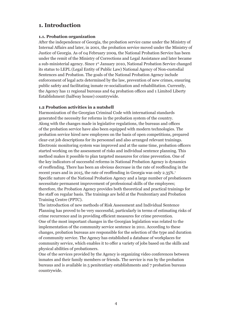## **1. Introduction**

#### **1.1. Probation organization**

After the independence of Georgia, the probation service came under the Ministry of Internal Affairs and later, in 2001, the probation service moved under the Ministry of Justice of Georgia. As of 04 February 2009, the National Probation Service has been under the remit of the Ministry of Corrections and Legal Assistance and later became a sub-ministerial agency. Since 1st January 2010, National Probation Service changed its status to LEPL (Legal Entity of Public Law) National Agency of Non-custodial Sentences and Probation. The goals of the National Probation Agency include enforcement of legal acts determined by the law, prevention of new crimes, ensuring public safety and facilitating inmate re-socialization and rehabilitation. Currently, the Agency has 11 regional bureaus and 64 probation offices and 1 Limited Liberty Establishment (halfway house) countrywide.

#### **1.2 Probation activities in a nutshell**

Harmonization of the Georgian Criminal Code with international standards generated the necessity for reforms in the probation system of the country. Along with the changes made in legislative regulations, the bureaus and offices of the probation service have also been equipped with modern technologies. The probation service hired new employees on the basis of open competitions, prepared clear-cut job descriptions for its personnel and also arranged relevant trainings. Electronic monitoring system was improved and at the same time, probation officers started working on the assessment of risks and individual sentence planning. This method makes it possible to plan targeted measures for crime prevention. One of the key indicators of successful reforms in National Probation Agency is dynamics of reoffending. There has been an obvious decrease in the rate of reoffending in the recent years and in 2015, the rate of reoffending in Georgia was only 2.35%.<sup>1</sup> Specific nature of the National Probation Agency and a large number of probationers necessitate permanent improvement of professional skills of the employees; therefore, the Probation Agency provides both theoretical and practical trainings for the staff on regular basis. The trainings are held at the Penitentiary and Probation Training Centre (PPTC).

The introduction of new methods of Risk Assessment and Individual Sentence Planning has proved to be very successful, particularly in terms of estimating risks of crime recurrence and in providing efficient measures for crime prevention. One of the most important changes in the Georgian legislation was related to the implementation of the community service sentence in 2011. According to these changes, probation bureaus are responsible for the selection of the type and duration of community service. The Agency has established a database of workplaces for community service, which enables it to offer a variety of jobs based on the skills and physical abilities of probationers.

One of the services provided by the Agency is organizing video conferences between inmates and their family members or friends. The service is run by the probation bureaus and is available in 5 penitentiary establishments and 7 probation bureaus countrywide.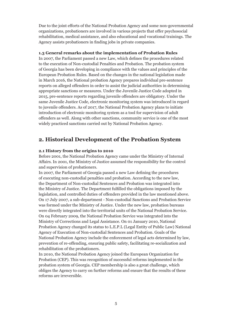Due to the joint efforts of the National Probation Agency and some non-governmental organizations, probationers are involved in various projects that offer psychosocial rehabilitation, medical assistance, and also educational and vocational trainings. The Agency assists probationers in finding jobs in private companies.

#### **1.3 General remarks about the implementation of Probation Rules**

In 2007, the Parliament passed a new Law, which defines the procedures related to the execution of Non-custodial Penalties and Probation. The probation system of Georgia has been developing in compliance with the values and principles of the European Probation Rules. Based on the changes in the national legislation made in March 2016, the National probation Agency prepares individual pre-sentence reports on alleged offenders in order to assist the judicial authorities in determining appropriate sanctions or measures. Under the Juvenile Justice Code adopted in 2015, pre-sentence reports regarding juvenile offenders are obligatory. Under the same Juvenile Justice Code, electronic monitoring system was introduced in regard to juvenile offenders. As of 2017, the National Probation Agency plans to initiate introduction of electronic monitoring system as a tool for supervision of adult offenders as well. Along with other sanctions, community service is one of the most widely practiced sanctions carried out by National Probation Agency.

### **2. Historical Development of the Probation System**

#### **2.1 History from the origins to 2010**

Before 2001, the National Probation Agency came under the Ministry of Internal Affairs. In 2001, the Ministry of Justice assumed the responsibility for the control and supervision of probationers.

In 2007, the Parliament of Georgia passed a new Law defining the procedures of executing non-custodial penalties and probation. According to the new law, the Department of Non-custodial Sentences and Probation was integrated into the Ministry of Justice. The Department fulfilled the obligations imposed by the legislation, and controlled duties of offenders provided in the law mentioned above. On 17 July 2007, a sub-department - Non-custodial Sanctions and Probation Service was formed under the Ministry of Justice. Under the new law, probation bureaus were directly integrated into the territorial units of the National Probation Service. On 04 February 2009, the National Probation Service was integrated into the Ministry of Corrections and Legal Assistance. On 01 January 2010, National Probation Agency changed its status to L.E.P.L (Legal Entity of Public Law) National Agency of Execution of Non-custodial Sentences and Probation. Goals of the National Probation Agency include the enforcement of legal acts determined by law, prevention of re-offending, ensuring public safety, facilitating re-socialization and rehabilitation of the probationers.

In 2010, the National Probation Agency joined the European Organization for Probation (CEP). This was recognition of successful reforms implemented in the probation system of Georgia. CEP membership is also a great challenge, which obliges the Agency to carry on further reforms and ensure that the results of these reforms are irreversible.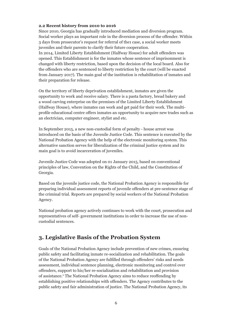#### **2.2 Recent history from 2010 to 2016**

Since 2010, Georgia has gradually introduced mediation and diversion program. Social worker plays an important role in the diversion process of the offender. Within 3 days from prosecutor's request for referral of the1 case, a social worker meets juveniles and their parents to clarify their future cooperation.

In 2014, Limited Liberty Establishment (Halfway House) for adult offenders was opened. This Establishment is for the inmates whose sentence of imprisonment is changed with liberty restriction, based upon the decision of the local board. Also for the offenders who are sentenced to liberty restriction by the court (will be enacted from January 2017). The main goal of the institution is rehabilitation of inmates and their preparation for release.

On the territory of liberty deprivation establishment, inmates are given the opportunity to work and receive salary. There is a pasta factory, bread bakery and a wood carving enterprise on the premises of the Limited Liberty Establishment (Halfway House), where inmates can work and get paid for their work. The multiprofile educational centre offers inmates an opportunity to acquire new trades such as an electrician, computer engineer, stylist and etc.

In September 2015, a new non-custodial form of penalty - house arrest was introduced on the basis of the Juvenile Justice Code. This sentence is executed by the National Probation Agency with the help of the electronic monitoring system. This alternative sanction serves for liberalization of the criminal justice system and its main goal is to avoid incarceration of juveniles.

Juvenile Justice Code was adopted on 01 January 2015, based on conventional principles of law, Convention on the Rights of the Child, and the Constitution of Georgia.

Based on the juvenile justice code, the National Probation Agency is responsible for preparing individual assessment reports of juvenile offenders at pre-sentence stage of the criminal trial. Reports are prepared by social workers of the National Probation Agency.

National probation agency actively continues to work with the court, prosecution and representatives of self- government institutions in order to increase the use of noncustodial sentences.

## **3. Legislative Basis of the Probation System**

Goals of the National Probation Agency include prevention of new crimes, ensuring public safety and facilitating inmate re-socialization and rehabilitation. The goals of the National Probation Agency are fulfilled through offenders' risks and needs assessment, individual sentence planning, electronic monitoring and control over offenders, support to his/her re-socialization and rehabilitation and provision of assistance.2 The National Probation Agency aims to reduce reoffending by establishing positive relationships with offenders. The Agency contributes to the public safety and fair administration of justice. The National Probation Agency, its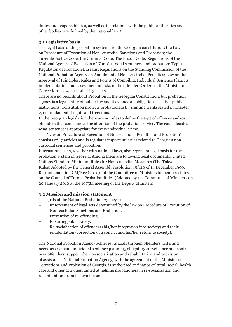duties and responsibilities, as well as its relations with the public authorities and other bodies, are defined by the national law.<sup>3</sup>

#### **3.1 Legislative basis**

The legal basis of the probation system are: the Georgian constitution; the Law on Procedure of Execution of Non- custodial Sanctions and Probation; the Juvenile Justice Code; the Criminal Code; The Prison Code; Regulations of the National Agency of Execution of Non-Custodial sentences and probation; Typical Regulation of Probation Bureaus; Regulations on the Standing Commission of the National Probation Agency on Annulment of Non- custodial Penalties; Law on the Approval of Principles, Rules and Forms of Compiling Individual Sentence Plan, its implementation and assessment of risks of the offender; Orders of the Minister of Corrections as well as other legal acts .

There are no records about Probation in the Georgian Constitution, but probation agency is a legal entity of public law and it extends all obligations as other public institutions. Constitution protects probationers by granting rights stated in Chapter 2, on fundamental rights and freedoms.

In the Georgian legislation there are no rules to define the type of offences and/or offenders that come under the attention of the probation service. The court decides what sentence is appropriate for every individual crime.

The "Law on Procedure of Execution of Non-custodial Penalties and Probation" consists of 47 articles and is regulates important issues related to Georgian noncustodial sentences and probation.

International acts, together with national laws, also represent legal basis for the probation system in Georgia. Among them are following legal documents: United Nations Standard Minimum Rules for Non-custodial Measures (The Tokyo Rules) Adopted by the General Assembly resolution 45/110 of 14 December 1990; Recommendation CM/Rec (2010)1 of the Committee of Ministers to member states on the Council of Europe Probation Rules (Adopted by the Committee of Ministers on 20 January 2010 at the 1075th meeting of the Deputy Ministers).

#### **3.2 Mission and mission statement**

The goals of the National Probation Agency are:

- Enforcement of legal acts determined by the law on Procedure of Execution of Non-custodial Sanctions and Probation,
- Prevention of re-offending,
- Ensuring public safety,
- − Re-socialization of offenders (his/her integration into society) and their rehabilitation (correction of a convict and his/her return to society).

The National Probation Agency achieves its goals through offenders' risks and needs assessment, individual sentence planning, obligatory surveillance and control over offenders, support their re-socialization and rehabilitation and provision of assistance. National Probation Agency, with the agreement of the Minister of Corrections and Probation of Georgia, is authorized to finance cultural, social, health care and other activities, aimed at helping probationers in re-socialization and rehabilitation, from its own incomes.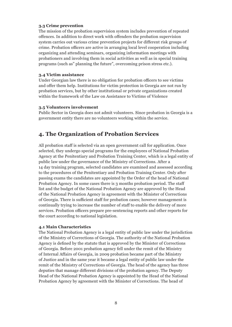#### **3.3 Crime prevention**

The mission of the probation supervision system includes prevention of repeated offences. In addition to direct work with offenders the probation supervision system carries out various crime prevention projects for different risk groups of crime. Probation officers are active in arranging local level cooperation including organizing and attending seminars, organizing information meetings with probationers and involving them in social activities as well as in special training programs (such as" planning the future", overcoming prison stress etc.).

#### **3.4 Victim assistance**

Under Georgian law there is no obligation for probation officers to see victims and offer them help. Institutions for victim protection in Georgia are not run by probation services, but by other institutional or private organizations created within the framework of the Law on Assistance to Victims of Violence

#### **3.5 Volunteers involvement**

Public Sector in Georgia does not admit volunteers. Since probation in Georgia is a government entity there are no volunteers working within the service.

## **4. The Organization of Probation Services**

All probation staff is selected via an open government call for application. Once selected, they undergo special programs for the employees of National Probation Agency at the Penitentiary and Probation Training Center, which is a legal entity of public law under the governance of the Ministry of Corrections. After a 14 day training program, selected candidates are examined and assessed according to the procedures of the Penitentiary and Probation Training Center. Only after passing exams the candidates are appointed by the Order of the head of National Probation Agency. In some cases there is 3 months probation period. The staff list and the budget of the National Probation Agency are approved by the Head of the National Probation Agency in agreement with the Minister of Corrections of Georgia. There is sufficient staff for probation cases; however management is continually trying to increase the number of staff to enable the delivery of more services. Probation officers prepare pre-sentencing reports and other reports for the court according to national legislation.

#### **4.1 Main Characteristics**

The National Probation Agency is a legal entity of public law under the jurisdiction of the Ministry of Corrections of Georgia. The authority of the National Probation Agency is defined by the statute that is approved by the Minister of Corrections of Georgia. Before 2001 probation agency fell under the remit of the Ministry of Internal Affairs of Georgia, in 2009 probation became part of the Ministry of Justice and in the same year it became a legal entity of public law under the remit of the Ministry of Corrections of Georgia. The head of the agency has three deputies that manage different divisions of the probation agency. The Deputy Head of the National Probation Agency is appointed by the Head of the National Probation Agency by agreement with the Minister of Corrections. The head of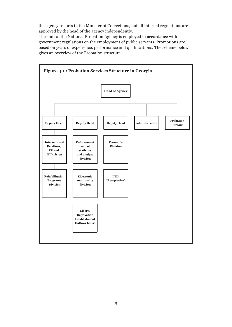the agency reports to the Minister of Corrections, but all internal regulations are approved by the head of the agency independently.

The staff of the National Probation Agency is employed in accordance with government regulations on the employment of public servants. Promotions are based on years of experience, performance and qualifications. The scheme below gives an overview of the Probation structure.

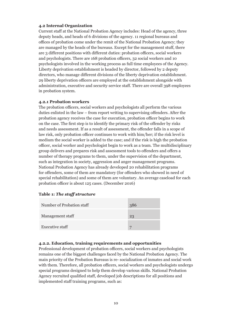#### **4.2 Internal Organization**

Current staff at the National Probation Agency includes: Head of the agency, three deputy heads, and heads of 6 divisions of the agency. 11 regional bureaus and offices of probation come under the remit of the National Probation Agency; they are managed by the heads of the bureaus. Except for the management stuff, there are 3 different positions with different duties: probation officers, social workers and psychologists. There are 168 probation officers, 32 social workers and 10 psychologists involved in the working process as full time employees of the Agency. Liberty deprivation establishment is headed by director, followed by 2 deputy directors, who manage different divisions of the liberty deprivation establishment. 29 liberty deprivation officers are employed at the establishment alongside with administration, executive and security service staff. There are overall 398 employees in probation system.

#### **4.2.1 Probation workers**

The probation officers, social workers and psychologists all perform the various duties enlisted in the law – from report writing to supervising offenders. After the probation agency receives the case for execution, probation officer begins to work on the case. The first step is to identify the primary risk of the offender by risks and needs assessment. If as a result of assessment, the offender falls in a scope of law risk, only probation officer continues to work with him/her; if the risk level is medium the social worker is added to the case; and if the risk is high the probation officer, social worker and psychologist begin to work as a team. The multidisciplinary group delivers and prepares risk and assessment tools to offenders and offers a number of therapy programs to them, under the supervision of the department, such as integration in society, aggression and anger management programs. National Probation Agency has already developed 20 rehabilitation programs for offenders, some of them are mandatory (for offenders who showed in need of special rehabilitation) and some of them are voluntary. An average caseload for each probation officer is about 125 cases. (December 2016)

#### **Table 1:** *The staff structure*

| Number of Probation staff | 386 |
|---------------------------|-----|
| Management staff          | 23  |
| <b>Executive staff</b>    |     |

#### **4.2.2. Education, training requirements and opportunities**

Professional development of probation officers, social workers and psychologists remains one of the biggest challenges faced by the National Probation Agency. The main priority of the Probation Bureaus is re- socialization of inmates and social work with them. Therefore, all probation officers, social workers and psychologists undergo special programs designed to help them develop various skills. National Probation Agency recruited qualified staff, developed job descriptions for all positions and implemented staff training programs, such as: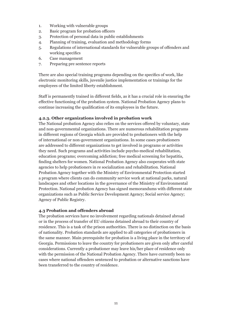- 1. Working with vulnerable groups
- 2. Basic program for probation officers
- 3. Protection of personal data in public establishments
- 4. Planning of training, evaluation and methodology forms
- 5. Regulations of international standards for vulnerable groups of offenders and working specifics
- 6. Case management
- 7. Preparing pre sentence reports

There are also special training programs depending on the specifics of work, like electronic monitoring skills, juvenile justice implementation or trainings for the employees of the limited liberty establishment.

Staff is permanently trained in different fields, as it has a crucial role in ensuring the effective functioning of the probation system. National Probation Agency plans to continue increasing the qualification of its employees in the future.

#### **4.2.3. Other organizations involved in probation work**

The National probation Agency also relies on the services offered by voluntary, state and non-governmental organizations. There are numerous rehabilitation programs in different regions of Georgia which are provided to probationers with the help of international or non-government organizations. In some cases probationers are addressed to different organizations to get involved in programs or activities they need. Such programs and activities include psycho-medical rehabilitation, education programs; overcoming addiction; free medical screening for hepatitis, finding shelters for women. National Probation Agency also cooperates with state agencies to help probationers in re socialization and rehabilitation. National Probation Agency together with the Ministry of Environmental Protection started a program where clients can do community service work at national parks, natural landscapes and other locations in the governance of the Ministry of Environmental Protection. National probation Agency has signed memorandums with different state organizations such as Public Service Development Agency; Social service Agency; Agency of Public Registry.

#### **4.3 Probation and offenders abroad**

The probation services have no involvement regarding nationals detained abroad or in the process of transfer of EU citizens detained abroad to their country of residence. This is a task of the prison authorities. There is no distinction on the basis of nationality. Probation standards are applied to all categories of probationers in the same manner. Main prerequisite for probation is a living place in the territory of Georgia. Permissions to leave the country for probationers are given only after careful considerations. Currently a probationer may leave his/her place of residence only with the permission of the National Probation Agency. There have currently been no cases where national offenders sentenced to probation or alternative sanctions have been transferred to the country of residence.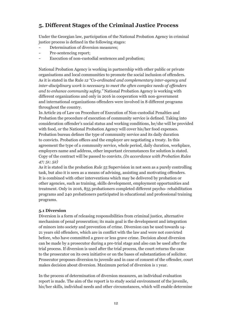## **5. Different Stages of the Criminal Justice Process**

Under the Georgian law, participation of the National Probation Agency in criminal justice process is defined in the following stages:

- Determination of diversion measures;
- Pre-sentencing report;
- Execution of non-custodial sentences and probation:

National Probation Agency is working in partnership with other public or private organisations and local communities to promote the social inclusion of offenders. As it is stated in the Rule *12 "Co-ordinated and complementary inter-agency and inter-disciplinary work is necessary to meet the often complex needs of offenders and to enhance community safety."* National Probation Agency is working with different organizations and only in 2016 in cooperation with non-government and international organizations offenders were involved in 8 different programs throughout the country.

In Article 29 of Law on Procedure of Execution of Non-custodial Penalties and Probation the procedure of execution of community service is defined. Taking into consideration offender's social status and working conditions, he/she will be provided with food, or the National Probation Agency will cover his/her food expenses. Probation bureau defines the type of community service and its daily duration to convicts. Probation offices and the employer are negotiating a treaty. In this agreement the type of a community service, whole period, daily duration, workplace, employers name and address, other important circumstances for solution is stated. Copy of the contract will be passed to convicts. *(In accordance with Probation Rules 47; 51; 52)*

As it is stated in the probation *Rule 55* Supervision in not seen as a purely controlling task, but also it is seen as a means of advising, assisting and motivating offenders. It is combined with other interventions which may be delivered by probation or other agencies, such as training, skills development, employment opportunities and treatment. Only in 2016, 855 probationers completed different psycho- rehabilitation programs and 240 probationers participated in educational and professional training programs.

#### **5.1 Diversion**

Diversion is a form of releasing responsibilities from criminal justice, alternative mechanism of penal prosecution; its main goal is the development and integration of minors into society and prevention of crime. Diversion can be used towards 14- 21 years old offenders, which are in conflict with the law and were not convicted before, who have committed a grave or less grave crime. Decision about diversion can be made by a prosecutor during a pre-trial stage and also can be used after the trial process. If diversion is used after the trial process, the court returns the case to the prosecutor on its own initiative or on the bases of substantiation of solicitor. Prosecutor proposes diversion to juvenile and in case of consent of the offender, court makes decision about diversion. Maximum period of diversion is 1 year.

In the process of determination of diversion measures, an individual evaluation report is made. The aim of the report is to study social environment of the juvenile, his/her skills, individual needs and other circumstances, which will enable determine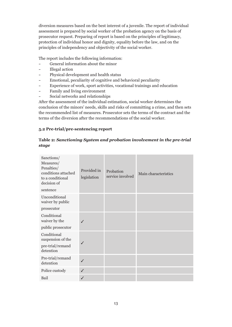diversion measures based on the best interest of a juvenile. The report of individual assessment is prepared by social worker of the probation agency on the basis of prosecutor request. Preparing of report is based on the principles of legitimacy, protection of individual honor and dignity, equality before the law, and on the principles of independency and objectivity of the social worker.

The report includes the following information:

- General information about the minor
- Illegal action
- Physical development and health status
- Emotional, peculiarity of cognitive and behavioral peculiarity
- Experience of work, sport activities, vocational trainings and education
- Family and living environment
- Social networks and relationships

After the assessment of the individual estimation, social worker determines the conclusion of the minors' needs, skills and risks of committing a crime, and then sets the recommended list of measures. Prosecutor sets the terms of the contract and the terms of the diversion after the recommendations of the social worker.

#### **5.2 Pre-trial/pre-sentencing report**

#### **Table 2:** *Sanctioning System and probation involvement in the pre-trial stage*

| Sanctions/<br>Measures/<br>Penalties/<br>conditions attached<br>to a conditional<br>decision of<br>sentence | Provided in<br>legislation | Probation<br>service involved | Main characteristics |
|-------------------------------------------------------------------------------------------------------------|----------------------------|-------------------------------|----------------------|
| Unconditional<br>waiver by public                                                                           |                            |                               |                      |
| prosecutor                                                                                                  |                            |                               |                      |
| Conditional<br>waiver by the                                                                                | ✓                          |                               |                      |
| public prosecutor                                                                                           |                            |                               |                      |
| Conditional<br>suspension of the<br>pre-trial/remand                                                        | ✓                          |                               |                      |
| detention                                                                                                   |                            |                               |                      |
| Pre-trial/remand<br>detention                                                                               | ✓                          |                               |                      |
| Police custody                                                                                              | $\checkmark$               |                               |                      |
| Bail                                                                                                        | ✓                          |                               |                      |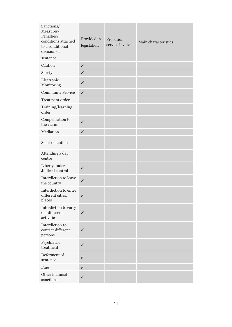| Sanctions/<br>Measures/<br>Penalties/<br>conditions attached<br>to a conditional<br>decision of | Provided in<br>legislation | Probation<br>service involved | Main characteristics |
|-------------------------------------------------------------------------------------------------|----------------------------|-------------------------------|----------------------|
| sentence<br>Caution                                                                             | $\checkmark$               |                               |                      |
| Surety                                                                                          | $\checkmark$               |                               |                      |
| Electronic<br>Monitoring                                                                        | $\checkmark$               |                               |                      |
| <b>Community Service</b>                                                                        | $\checkmark$               |                               |                      |
| Treatment order                                                                                 |                            |                               |                      |
| Training/learning<br>order                                                                      |                            |                               |                      |
| Compensation to<br>the victim                                                                   | $\checkmark$               |                               |                      |
| Mediation                                                                                       | $\checkmark$               |                               |                      |
| Semi-detention                                                                                  |                            |                               |                      |
| Attending a day<br>centre                                                                       |                            |                               |                      |
| Liberty under<br>Judicial control                                                               | $\checkmark$               |                               |                      |
| Interdiction to leave<br>the country                                                            | $\checkmark$               |                               |                      |
| Interdiction to enter<br>different cities/<br>places                                            | ✓                          |                               |                      |
| Interdiction to carry<br>out different<br>activities                                            | $\checkmark$               |                               |                      |
| Interdiction to<br>contact different<br>persons                                                 | $\checkmark$               |                               |                      |
| Psychiatric<br>treatment                                                                        | $\checkmark$               |                               |                      |
| Deferment of<br>sentence                                                                        | $\checkmark$               |                               |                      |
| Fine                                                                                            | $\checkmark$               |                               |                      |
| Other financial<br>sanctions                                                                    | $\checkmark$               |                               |                      |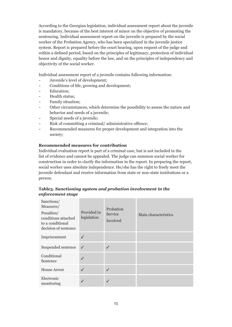According to the Georgian legislation, individual assessment report about the juvenile is mandatory, because of the best interest of minor on the objective of promoting the sentencing. Individual assessment report on the juvenile is prepared by the social worker of the Probation Agency, who has been specialized in the juvenile justice system. Report is prepared before the court hearing, upon request of the judge and within a defined period, based on the principles of legitimacy, protection of individual honor and dignity, equality before the law, and on the principles of independency and objectivity of the social worker.

Individual assessment report of a juvenile contains following information:

- Juvenile's level of development;
- Conditions of life, growing and development;
- Education:
- Health status:
- Family situation;
- Other circumstances, which determine the possibility to assess the nature and behavior and needs of a juvenile;
- Special needs of a juvenile;
- Risk of committing a criminal/ administrative offence;
- Recommended measures for proper development and integration into the society;

#### **Recommended measures for contribution**

Individual evaluation report is part of a criminal case, but is not included in the list of evidence and cannot be appealed. The judge can summon social worker for construction in order to clarify the information in the report. In preparing the report, social worker uses absolute independence. He/she has the right to freely meet the juvenile defendant and receive information from state or non-state institutions or a person.

#### **Table3.** *Sanctioning system and probation involvement in the enforcement stage*

| Sanctions/<br>Measures/<br>Penalties/<br>conditions attached<br>to a conditional<br>decision of sentence | Provided in<br>legislation | Probation<br>Service<br>Involved | Main characteristics |
|----------------------------------------------------------------------------------------------------------|----------------------------|----------------------------------|----------------------|
| Imprisonment                                                                                             | ✓                          |                                  |                      |
| Suspended sentence                                                                                       | $\checkmark$               |                                  |                      |
| Conditional<br>Sentence                                                                                  | ✓                          |                                  |                      |
| <b>House Arrest</b>                                                                                      | ✓                          |                                  |                      |
| Electronic<br>monitoring                                                                                 | √                          |                                  |                      |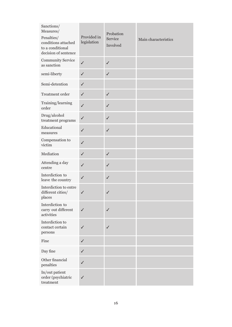| Sanctions/<br>Measures/<br>Penalties/<br>conditions attached<br>to a conditional<br>decision of sentence | Provided in<br>legislation | Probation<br>Service<br>Involved | Main characteristics |
|----------------------------------------------------------------------------------------------------------|----------------------------|----------------------------------|----------------------|
| <b>Community Service</b><br>as sanction                                                                  | $\checkmark$               | ✓                                |                      |
| semi-liberty                                                                                             | $\checkmark$               | $\checkmark$                     |                      |
| Semi-detention                                                                                           | $\checkmark$               |                                  |                      |
| Treatment order                                                                                          | $\checkmark$               | $\checkmark$                     |                      |
| Training/learning<br>order                                                                               | $\checkmark$               | $\checkmark$                     |                      |
| Drug/alcohol<br>treatment programs                                                                       | $\checkmark$               | $\checkmark$                     |                      |
| Educational<br>measures                                                                                  | $\checkmark$               | $\checkmark$                     |                      |
| Compensation to<br>victim                                                                                | $\checkmark$               |                                  |                      |
| Mediation                                                                                                | $\checkmark$               | $\checkmark$                     |                      |
| Attending a day<br>centre                                                                                | $\checkmark$               | ✓                                |                      |
| Interdiction to<br>leave the country                                                                     | $\checkmark$               | $\checkmark$                     |                      |
| Interdiction to entre<br>different cities/<br>places                                                     | $\checkmark$               | ✓                                |                      |
| Interdiction to<br>carry out different<br>activities                                                     | ✓                          |                                  |                      |
| Interdiction to<br>contact certain<br>persons                                                            | $\checkmark$               | ✓                                |                      |
| Fine                                                                                                     | $\checkmark$               |                                  |                      |
| Day fine                                                                                                 | $\checkmark$               |                                  |                      |
| Other financial<br>penalties                                                                             | $\checkmark$               |                                  |                      |
| In/out patient<br>order (psychiatric<br>treatment                                                        | $\checkmark$               |                                  |                      |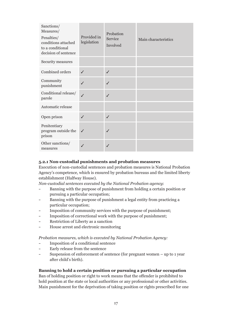| Sanctions/<br>Measures/<br>Penalties/<br>conditions attached<br>to a conditional<br>decision of sentence | Provided in<br>legislation | Probation<br>Service<br>Involved | Main characteristics |
|----------------------------------------------------------------------------------------------------------|----------------------------|----------------------------------|----------------------|
| Security measures                                                                                        |                            |                                  |                      |
| Combined orders                                                                                          | ✓                          | $\checkmark$                     |                      |
| Community<br>punishment                                                                                  | ✓                          |                                  |                      |
| Conditional release/<br>parole                                                                           | $\checkmark$               | ✓                                |                      |
| Automatic release                                                                                        |                            |                                  |                      |
| Open prison                                                                                              | ✓                          |                                  |                      |
| Penitentiary<br>program outside the<br>prison                                                            | ✓                          |                                  |                      |
| Other sanctions/<br>measures                                                                             |                            |                                  |                      |

#### **5.2.1 Non-custodial punishments and probation measures**

Execution of non-custodial sentences and probation measures is National Probation Agency's competence, which is ensured by probation bureaus and the limited liberty establishment (Halfway House).

*Non-custodial sentences executed by the National Probation agency*:

- Banning with the purpose of punishment from holding a certain position or pursuing a particular occupation;
- Banning with the purpose of punishment a legal entity from practicing a particular occupation;
- Imposition of community services with the purpose of punishment;
- Imposition of correctional work with the purpose of punishment;
- Restriction of Liberty as a sanction
- House arrest and electronic monitoring

*Probation measures, which is executed by National Probation Agency:*

- Imposition of a conditional sentence
- Early release from the sentence
- Suspension of enforcement of sentence (for pregnant women up to 1 year after child's birth).

#### **Banning to hold a certain position or pursuing a particular occupation**

Ban of holding position or right to work means that the offender is prohibited to hold position at the state or local authorities or any professional or other activities. Main punishment for the deprivation of taking position or rights prescribed for one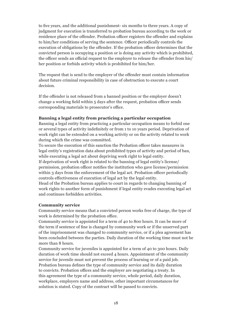to five years, and the additional punishment- six months to three years. A copy of judgment for execution is transferred to probation bureau according to the work or residence place of the offender. Probation officer registers the offender and explains to him/her conditions of serving the sentence. Officer periodically controls the execution of obligations by the offender. If the probation officer determines that the convicted person is occupying a position or is doing any activity which is prohibited, the officer sends an official request to the employer to release the offender from his/ her position or forbids activity which is prohibited for him/her.

The request that is send to the employer of the offender must contain information about future criminal responsibility in case of obstruction to execute a court decision.

If the offender is not released from a banned position or the employer doesn't change a working field within 5 days after the request, probation officer sends corresponding materials to prosecutor's office.

#### **Banning a legal entity from practicing a particular occupation**

Banning a legal entity from practicing a particular occupation means to forbid one or several types of activity indefinitely or from 1 to 10 years period. Deprivation of work right can be extended on a working activity or on the activity related to work during which the crime was committed.

To secure the execution of this sanction the Probation officer takes measures in legal entity's registration data about prohibited types of activity and period of ban, while executing a legal act about depriving work right to legal entity.

If deprivation of work right is related to the banning of legal entity's license/ permission, probation officer notifies the institution who gave license/permission within 3 days from the enforcement of the legal act. Probation officer periodically controls effectiveness of execution of legal act by the legal entity.

Head of the Probation bureau applies to court in regards to changing banning of work rights to another form of punishment if legal entity evades executing legal act and continues forbidden activities.

#### **Community service**

Community service means that a convicted person works free of charge, the type of work is determined by the probation office.

Community service is appointed for a term of 40 to 800 hours. It can be more of the term if sentence of fine is changed by community work or if the unserved part of the imprisonment was changed to community service, or if a plea agreement has been concluded between the parties. Daily duration of the working time must not be more than 8 hours.

Community service for juveniles is appointed for a term of 40 to 300 hours. Daily duration of work time should not exceed 4 hours. Appointment of the community service for juvenile must not prevent the process of learning or of a paid job. Probation bureau defines the type of community service and its daily duration to convicts. Probation offices and the employer are negotiating a treaty. In this agreement the type of a community service, whole period, daily duration, workplace, employers name and address, other important circumstances for solution is stated. Copy of the contract will be passed to convicts.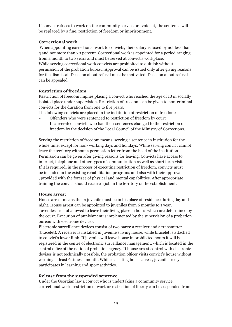If convict refuses to work on the community service or avoids it, the sentence will be replaced by a fine, restriction of freedom or imprisonment.

#### **Correctional work**

 When appointing correctional work to convicts, their salary is taxed by not less than 5 and not more than 20 percent. Correctional work is appointed for a period ranging from a month to two years and must be served at convict's workplace. While serving correctional work convicts are prohibited to quit job without

permission of the probation bureau. Approval can be issued only after giving reasons for the dismissal. Decision about refusal must be motivated. Decision about refusal can be appealed.

#### **Restriction of freedom**

Restriction of freedom implies placing a convict who reached the age of 18 in socially isolated place under supervision. Restriction of freedom can be given to non-criminal convicts for the duration from one to five years.

The following convicts are placed in the institution of restriction of freedom:

- Offenders who were sentenced to restriction of freedom by court
- Incarcerated convicts who had their sentences changed to the restriction of freedom by the decision of the Local Council of the Ministry of Corrections.

Serving the restriction of freedom means, serving a sentence in institution for the whole time, except for non- working days and holidays. While serving convict cannot leave the territory without a permission letter from the head of the institution. Permission can be given after giving reasons for leaving. Convicts have access to internet, telephone and other types of communication as well as short term visits. If it is required, in the process of executing restriction of freedom, convicts must be included in the existing rehabilitation programs and also with their approval , provided with the foresee of physical and mental capabilities. After appropriate training the convict should receive a job in the territory of the establishment.

#### **House arrest**

House arrest means that a juvenile must be in his place of residence during day and night. House arrest can be appointed to juveniles from 6 months to 1 year. Juveniles are not allowed to leave their living place in hours which are determined by the court. Execution of punishment is implemented by the supervision of a probation bureau with electronic devices.

Electronic surveillance devices consist of two parts: a receiver and a transmitter (bracelet). A receiver is installed in juvenile's living house, while bracelet is attached to convict's lower limb. If juvenile will leave house in prohibited hours it will be registered in the centre of electronic surveillance management, which is located in the central office of the national probation agency. If house arrest control with electronic devises is not technically possible, the probation officer visits convict's house without warning at least 6 times a month. While executing house arrest, juvenile freely participates in learning and sport activities.

#### **Release from the suspended sentence**

Under the Georgian law a convict who is undertaking a community service, correctional work, restriction of work or restriction of liberty can be suspended from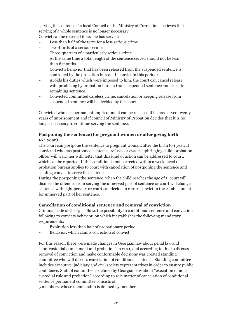serving the sentence if a local Council of the Ministry of Corrections believes that serving of a whole sentence is no longer necessary.

Convict can be released if he/she has served:

- Less than half of the term for a less serious crime
- Two-thirds of a serious crime
- Three-quarters of a particularly serious crime At the same time a total length of the sentence served should not be less than 6 months. Convict's behavior that has been released from the suspended sentence is controlled by the probation bureau. If convict in this period:
- Avoids his duties which were imposed to him, the court can cancel release with producing by probation bureau from suspended sentence and execute remaining sentence.
- Convicted committed careless crime, cancelation or keeping release from suspended sentence will be decided by the court.

Convicted who has permanent imprisonment can be released if he has served twenty years of imprisonment and if council of Ministry of Probation decides that it is no longer necessary to continue serving the sentence.

#### **Postponing the sentence (for pregnant women or after giving birth to 1 year)**

The court can postpone the sentence to pregnant woman, after the birth to 1 year. If convicted who has postponed sentence, refuses or evades upbringing child, probation officer will warn her with letter that this kind of action can be addressed to court, which can be reported. If this condition is not corrected within a week, head of probation bureau applies to court with cancelation of postponing the sentence and sending convict to serve the sentence.

During the postponing the sentence, when the child reaches the age of 1, court will dismiss the offender from serving the unnerved part of sentence or court will change sentence with light penalty or court can decide to return convict to the establishment for unnerved part of her sentence.

#### **Cancellation of conditional sentence and removal of conviction**

Criminal code of Georgia allows the possibility to conditional sentence and conviction following to convicts behavior, on which it establishes the following mandatory requirements:

- Expiration less than half of probationary period
- Behavior, which claims correction of convict.

For this reason there were made changes in Georgian law about penal law and "non-custodial punishment and probation" in 2011, and according to this to discuss removal of conviction and make conformable decisions was created standing committee who will discuss cancelation of conditional sentence. Standing committee includes executive, judiciary and civil society representatives in order to ensure public confidence. Staff of committee is defined by Georgian law about "execution of noncustodial rule and probation" according to role matter of cancelation of conditional sentence permanent committee consists of

5 members, whose membership is defined by members: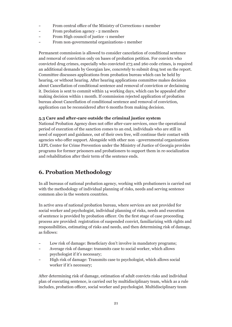- From central office of the Ministry of Corrections-1 member
- From probation agency 2 members
- From High council of justice -1 member
- From non-governmental organizations-1 member

Permanent commission is allowed to consider cancelation of conditional sentence and removal of conviction only on bases of probation petition. For convicts who convicted drug crimes, especially who convicted 273 and 260 code crimes, is required an additional demands by Georgian law, concretely to submit drug test on the report. Committee discusses applications from probation bureau which can be held by hearing, or without hearing. After hearing applications committee makes decision about Cancellation of conditional sentence and removal of conviction or declaiming it. Decision is sent to commit within 14 working days, which can be appealed after making decision within 1 month. If commission rejected application of probation bureau about Cancellation of conditional sentence and removal of conviction, application can be reconsidered after 6 months from making decision.

#### **5.3 Care and after-care outside the criminal justice system**

National Probation Agency does not offer after-care services, once the operational period of execution of the sanction comes to an end, individuals who are still in need of support and guidance, out of their own free, will continue their contact with agencies who offer support. Alongside with other non –governmental organizations LEPL Center for Crime Prevention under the Ministry of Justice of Georgia provides programs for former prisoners and probationers to support them in re-socialization and rehabilitation after their term of the sentence ends.

## **6. Probation Methodology**

In all bureaus of national probation agency, working with probationers is carried out with the methodology of individual planning of risks, needs and serving sentence common also in the western countries.

In active area of national probation bureau, where services are not provided for social worker and psychologist, individual planning of risks, needs and execution of sentence is provided by probation officer. On the first stage of case proceeding process are provided: registration of suspended convict, familiarizing with rights and responsibilities, estimating of risks and needs, and then determining risk of damage, as follows:

- Low risk of damage: Beneficiary don't involve in mandatory programs;
- Average risk of damage: transmits case to social worker, which allows psychologist if it's necessary;
- High risk of damage: Transmits case to psychologist, which allows social worker if it's necessary;

After determining risk of damage, estimation of adult convicts risks and individual plan of executing sentence, is carried out by multidisciplinary team, which as a rule includes, probation officer, social worker and psychologist. Multidisciplinary team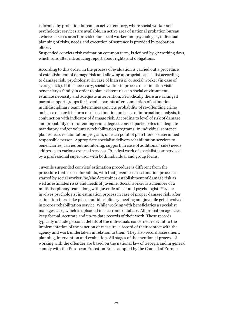is formed by probation bureau on active territory, where social worker and psychologist services are available. In active area of national probation bureau, , where services aren't provided for social worker and psychologist, individual planning of risks, needs and execution of sentence is provided by probation officer.

Suspended convicts risk estimation common term, is defined by 32 working days, which runs after introducing report about rights and obligations.

According to this order, in the process of evaluation is carried out a procedure of establishment of damage risk and allowing appropriate specialist according to damage risk, psychologist (in case of high risk) or social worker (in case of average risk). If it is necessary, social worker in process of estimation visits beneficiary's family in order to plan existent risks in social environment, estimate necessity and adequate intervention. Periodically there are arranged parent support groups for juvenile parents after completion of estimation multidisciplinary team determines convicts probability of re-offending crime on bases of convicts form of risk estimation on bases of information analysis, in conjunction with indicator of damage risk. According to level of risk of damage and probability of re-offending crime degree, convict participates in adequate mandatory and/or voluntary rehabilitation programs. In individual sentence plan reflects rehabilitation program, on each point of plan there is determined responsible person. Appropriate specialist delivers rehabilitation services to beneficiaries, carries out monitoring, support, in case of additional (side) needs addresses to various external services. Practical work of specialist is supervised by a professional supervisor with both individual and group forms.

Juvenile suspended convicts' estimation procedure is different from the procedure that is used for adults, with that juvenile risk estimation process is started by social worker, he/she determines establishment of damage risk as well as estimates risks and needs of juvenile. Social worker is a member of a multidisciplinary team along with juvenile officer and psychologist. He/she involves psychologist in estimation process in case of proper damage risk, after estimation there take place multidisciplinary meeting and juvenile gets involved in proper rehabilitation service. While working with beneficiaries a specialist manages case, which is uploaded in electronic database. All probation agencies keep formal, accurate and up-to-date records of their work. These records typically include personal details of the individuals concerned relevant to the implementation of the sanction or measure, a record of their contact with the agency and work undertaken in relation to them. They also record assessment, planning, intervention and evaluation. All stages of the mentioned process of working with the offender are based on the national law of Georgia and in general comply with the European Probation Rules adopted by the Council of Europe.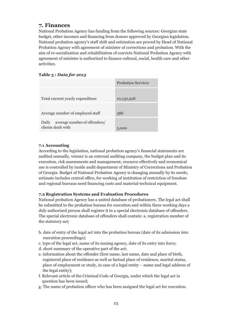## **7. Finances**

National Probation Agency has funding from the following sources: Georgian state budget, other incomes and financing from donors approved by Georgian legislation. National probation agency's staff shift and estimation are proved by Head of National Probation Agency with agreement of minister of corrections and probation. With the aim of re-socialization and rehabilitation of convicts National Probation Agency with agreement of minister is authorized to finance cultural, social, health care and other activities.

#### **Table 5 :** *Data for 2015*

|                                                             | <b>Probation Services</b> |
|-------------------------------------------------------------|---------------------------|
| Total current yearly expenditure                            | 10,130,918                |
| Average number of employed staff                            | 386                       |
| average number of offenders/<br>Daily<br>clients dealt with | 5,000                     |

#### **7.1 Accounting**

According to the legislation, national probation agency's financial statements are audited annually, winner is an external auditing company, the budget plan and its execution, risk assessments and management, resource effectively and economical use is controlled by inside audit department of Ministry of Corrections and Probation of Georgia. Budget of National Probation Agency is changing annually by its needs; estimate includes central office, for working of institution of restriction of freedom and regional bureaus need financing costs and material-technical equipment.

#### **7.2 Registration Systems and Evaluation Procedures**

National probation Agency has a united database of probationers. The legal act shall be submitted to the probation bureau for execution and within three working days a duly authorized person shall register it in a special electronic database of offenders. The special electronic database of offenders shall contain: a. registration number of the statutory act;

- b. date of entry of the legal act into the probation bureau (date of its admission into execution proceedings);
- c. type of the legal act, name of its issuing agency, date of its entry into force;
- d. short summary of the operative part of the act;
- e. information about the offender (first name, last name, date and place of birth, registered place of residence as well as factual place of residence, marital status, place of employment or study, in case of a legal entity – name and legal address of the legal entity);
- f. Relevant article of the Criminal Code of Georgia, under which the legal act in question has been issued;
- g. The name of probation officer who has been assigned the legal act for execution.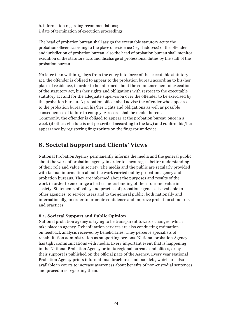h. information regarding recommendations; i. date of termination of execution proceedings.

The head of probation bureau shall assign the executable statutory act to the probation officer according to the place of residence (legal address) of the offender and jurisdiction of probation bureau, also the head of probation bureau shall monitor execution of the statutory acts and discharge of professional duties by the staff of the probation bureau.

No later than within 15 days from the entry into force of the executable statutory act, the offender is obliged to appear to the probation bureau according to his/her place of residence, in order to be informed about the commencement of execution of the statutory act, his/her rights and obligations with respect to the executable statutory act and for the adequate supervision over the offender to be exercised by the probation bureau. A probation officer shall advise the offender who appeared to the probation bureau on his/her rights and obligations as well as possible consequences of failure to comply. A record shall be made thereof. Commonly, the offender is obliged to appear at the probation bureau once in a week (if other schedule is not prescribed according to the law) and confirm his/her appearance by registering fingerprints on the fingerprint device.

## **8. Societal Support and Clients' Views**

National Probation Agency permanently informs the media and the general public about the work of probation agency in order to encourage a better understanding of their role and value in society. The media and the public are regularly provided with factual information about the work carried out by probation agency and probation bureaus. They are informed about the purposes and results of the work in order to encourage a better understanding of their role and value in society. Statements of policy and practice of probation agencies is available to other agencies, to service users and to the general public, both nationally and internationally, in order to promote confidence and improve probation standards and practices.

#### **8.1. Societal Support and Public Opinion**

National probation agency is trying to be transparent towards changes, which take place in agency. Rehabilitation services are also conducting estimation on feedback analysis received by beneficiaries. They perceive specialists of rehabilitation administration as supporting persons. National probation Agency has tight communications with media. Every important event that is happening in the National Probation Agency or in its regional bureaus and offices, or by their support is published on the official page of the Agency. Every year National Probation Agency prints informational brochures and booklets, which are also available in courts to increase awareness about benefits of non-custodial sentences and procedures regarding them.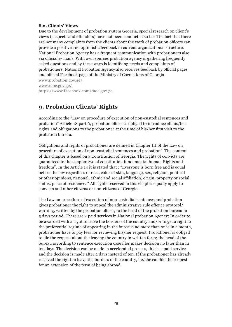#### **8.2. Clients' Views**

Due to the development of probation system Georgia, special research on client's views (suspects and offenders) have not been conducted so far. The fact that there are not many complaints from the clients about the work of probation officers can provide a positive and optimistic feedback in current organizational structure. National Probation Agency has a frequent communication with probationers also via official e- mails. With own sources probation agency is gathering frequently asked questions and by these ways is identifying needs and complaints of probationers. National Probation Agency also receives feedback by official pages and official Facebook page of the Ministry of Corrections of Georgia.

www.probation.gov.ge/ www.moc.gov.ge/ https://www.facebook.com/moc.gov.ge

## **9. Probation Clients' Rights**

According to the "Law on procedure of execution of non-custodial sentences and probation" Article 18,part 6, probation officer is obliged to introduce all his/her rights and obligations to the probationer at the time of his/her first visit to the probation bureau.

Obligations and rights of probationer are defined in Chapter III of the Law on procedure of execution of non- custodial sentences and probation". The content of this chapter is based on a Constitution of Georgia. The rights of convicts are guaranteed in the chapter two of constitution fundamental human Rights and freedom". In the Article 14 it is stated that : "Everyone is born free and is equal before the law regardless of race, color of skin, language, sex, religion, political or other opinions, national, ethnic and social affiliation, origin, property or social status, place of residence. " All rights reserved in this chapter equally apply to convicts and other citizens or non-citizens of Georgia.

The Law on procedure of execution of non-custodial sentences and probation gives probationer the right to appeal the administrative rule offence protocol/ warning, written by the probation officer, to the head of the probation bureau in 5 days period. There are 2 paid services in National probation Agency; In order to be awarded with a right to leave the borders of the country and/or to get a right to the preferential regime of appearing in the bureaus no more than once in a month, probationer have to pay fees for reviewing his/her request. Probationer is obliged to file the request about the leaving the country in written form; the head of the bureau according to sentence execution case files makes decision no later than in ten days. The decision can be made in accelerated process, this is a paid service and the decision is made after 2 days instead of ten. If the probationer has already received the right to leave the borders of the country, he/she can file the request for an extension of the term of being abroad.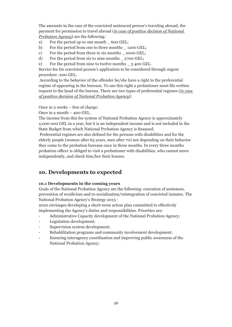The amounts in the case of the convicted sentenced person's traveling abroad, the payment for permission to travel abroad (*in case of positive decision of National Probation Agency*) are the following:

- a) For the period up to one month  $600$  GEL:
- b) For the period from one to three months \_ 1200 GEL;
- c) For the period from three to six months \_ 2000 GEL;
- d) For the period from six to nine months \_ 2700 GEL;
- e) For the period from nine to twelve months \_ 3 400 GEL.

Service fee for convicted person's application to be considered through urgent procedure -200 GEL.

 According to the behavior of the offender he/she have a right to the preferential regime of appearing in the bureaus. To use this right a probationer must file written request to the head of the bureau. There are two types of preferential regimes (*in case of positive decision of National Probation Agency*):

Once in 2 weeks – free of charge;

Once in a month – 400 GEL.

The income from this fee system of National Probation Agency is approximately 2,000 000 GEL in a year, but it is an independent income and is not included in the State Budget from which National Probation Agency is financed.

 Preferential regimes are also defined for the persons with disabilities and for the elderly people (women after 65 years, men after 70) not depending on their behavior they come to the probation bureaus once in three months. In every three months probation officer is obliged to visit a probationer with disabilities, who cannot move independently, and check him/her their houses.

## **10. Developments to expected**

#### **10.1 Developments in the coming years**

Goals of the National Probation Agency are the following: execution of sentences, prevention of recidivism and re-socialization/reintegration of convicted inmates. The National Probation Agency's Strategy 2015 -

2020 envisages developing a short-term action plan committed to effectively implementing the Agency's duties and responsibilities. Priorities are:

- Administrative Capacity development of the National Probation Agency;
- Legislation development;
- Supervision system development;
- Rehabilitation programs and community involvement development;
- Ensuring interagency coordination and improving public awareness of the National Probation Agency;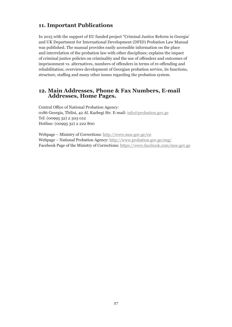## **11. Important Publications**

In 2015 with the support of EU funded project "Criminal Justice Reform in Georgia' and UK Department for International Development (DFID) Probation Law Manual was published. The manual provides easily accessible information on the place and interrelation of the probation law with other disciplines; explains the impact of criminal justice policies on criminality and the use of offenders and outcomes of imprisonment vs. alternatives, numbers of offenders in terms of re-offending and rehabilitation; overviews development of Georgian probation service, its functions, structure, staffing and many other issues regarding the probation system.

#### **12. Main Addresses, Phone & Fax Numbers, E-mail Addresses, Home Pages.**

Central Office of National Probation Agency: 0186 Georgia, Tbilisi, 42 Al. Kazbegi Str. E-mail: info@probation.gov.ge Tel: (00995 32) 2 303 012 Hotline: (00995 32) 2 222 800

Webpage – Ministry of Corrections: http://www.moc.gov.ge/en Webpage – National Probation Agency: http://www.probation.gov.ge/eng/ Facebook Page of the Ministry of Corrections: https://www.facebook.com/moc.gov.ge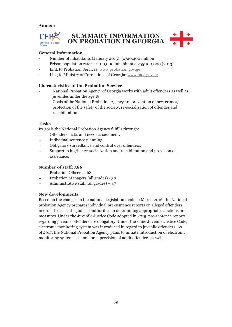**Annex 1**



#### **General Information**

- Number of inhabitants (January 2015): 3.720.400 million
- Prison population rate per 100,000 inhabitants: 255:100,000 (2013)
- Link to Probation Services: www.probation.gov.ge
- Ling to Ministry of Corrections of Georgia: www.moc.gov.ge

#### **Characteristics of the Probation Service**

- National Probation Agency of Georgia works with adult offenders as well as juveniles under the age 18.
- Goals of the National Probation Agency are prevention of new crimes, protection of the safety of the society, re-socialization of offender and rehabilitation.

#### **Tasks**

Its goals the National Probation Agency fulfills through:

- Offenders' risks and needs assessment,
- Individual sentence planning,
- Obligatory surveillance and control over offenders,
- Support to his/her re-socialization and rehabilitation and provision of assistance.

#### **Number of staff: 386**

- Probation Officers -168
- Probation Managers (all grades) 30
- $-$  Administrative staff (all grades)  $-47$

#### **New developments**

Based on the changes in the national legislation made in March 2016, the National probation Agency prepares individual pre-sentence reports on alleged offenders in order to assist the judicial authorities in determining appropriate sanctions or measures. Under the Juvenile Justice Code adopted in 2015, pre-sentence reports regarding juvenile offenders are obligatory. Under the same Juvenile Justice Code, electronic monitoring system was introduced in regard to juvenile offenders. As of 2017, the National Probation Agency plans to initiate introduction of electronic monitoring system as a tool for supervision of adult offenders as well.